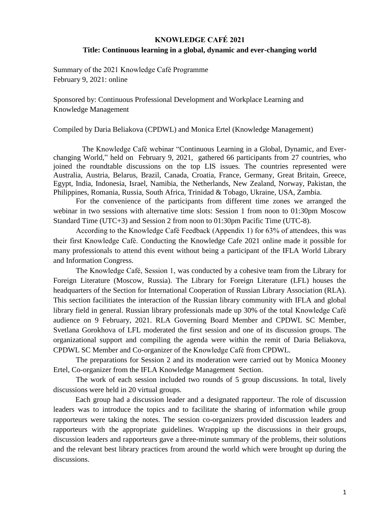#### **KNOWLEDGE CAFÉ 2021**

#### **Title: Continuous learning in a global, dynamic and ever-changing world**

Summary of the 2021 Knowledge Café Programme February 9, 2021: online

Sponsored by: Continuous Professional Development and Workplace Learning and Knowledge Management

Compiled by Daria Beliakova (CPDWL) and Monica Ertel (Knowledge Management)

The Knowledge Café webinar "Continuous Learning in a Global, Dynamic, and Everchanging World," held on February 9, 2021, gathered 66 participants from 27 countries, who joined the roundtable discussions on the top LIS issues. The countries represented were Australia, Austria, Belarus, Brazil, Canada, Croatia, France, Germany, Great Britain, Greece, Egypt, India, Indonesia, Israel, Namibia, the Netherlands, New Zealand, Norway, Pakistan, the Philippines, Romania, Russia, South Africa, Trinidad & Tobago, Ukraine, USA, Zambia.

For the convenience of the participants from different time zones we arranged the webinar in two sessions with alternative time slots: Session 1 from noon to 01:30pm Moscow Standard Time (UTC+3) and Session 2 from noon to 01:30pm Pacific Time (UTC-8).

According to the Knowledge Café Feedback (Appendix 1) for 63% of attendees, this was their first Knowledge Café. Conducting the Knowledge Cafe 2021 online made it possible for many professionals to attend this event without being a participant of the IFLA World Library and Information Congress.

The Knowledge Café, Session 1, was conducted by a cohesive team from the Library for Foreign Literature (Moscow, Russia). The Library for Foreign Literature (LFL) houses the headquarters of the Section for International Cooperation of Russian Library Association (RLA). This section facilitiates the interaction of the Russian library community with IFLA and global library field in general. Russian library professionals made up 30% of the total Knowledge Café audience on 9 February, 2021. RLA Governing Board Member and CPDWL SC Member, Svetlana Gorokhova of LFL moderated the first session and one of its discussion groups. The organizational support and compiling the agenda were within the remit of Daria Beliakova, CPDWL SC Member and Co-organizer of the Knowledge Café from CPDWL.

The preparations for Session 2 and its moderation were carried out by Monica Mooney Ertel, Co-organizer from the IFLA Knowledge Management Section.

The work of each session included two rounds of 5 group discussions. In total, lively discussions were held in 20 virtual groups.

Each group had a discussion leader and a designated rapporteur. The role of discussion leaders was to introduce the topics and to facilitate the sharing of information while group rapporteurs were taking the notes. The session co-organizers provided discussion leaders and rapporteurs with the appropriate guidelines. Wrapping up the discussions in their groups, discussion leaders and rapporteurs gave a three-minute summary of the problems, their solutions and the relevant best library practices from around the world which were brought up during the discussions.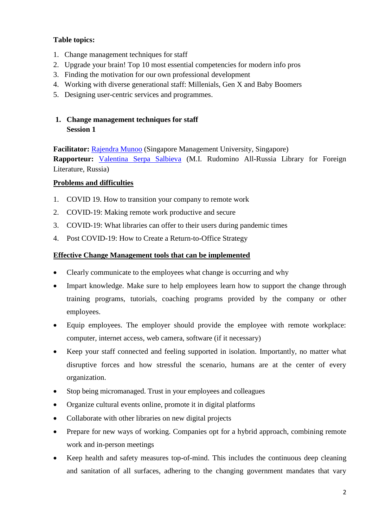#### **Table topics:**

- 1. Change management techniques for staff
- 2. Upgrade your brain! Top 10 most essential competencies for modern info pros
- 3. Finding the motivation for our own professional development
- 4. Working with diverse generational staff: Millenials, Gen X and Baby Boomers
- 5. Designing user-centric services and programmes.

#### **1. Change management techniques for staff Session 1**

**Facilitator:** [Rajendra Munoo](mailto:rajen@smu.edu.sg) (Singapore Management University, Singapore)

**Rapporteur:** [Valentina Serpa Salbieva](mailto:valentina.serpa_salbieva@libfl.ru) (M.I. Rudomino All-Russia Library for Foreign Literature, Russia)

#### **Problems and difficulties**

- 1. COVID 19. How to transition your company to remote work
- 2. COVID-19: Making remote work productive and secure
- 3. COVID-19: What libraries can offer to their users during pandemic times
- 4. Post COVID-19: How to Create a Return-to-Office Strategy

#### **Effective Change Management tools that can be implemented**

- Clearly communicate to the employees what change is occurring and why
- Impart knowledge. Make sure to help employees learn how to support the change through training programs, tutorials, coaching programs provided by the company or other employees.
- Equip employees. The employer should provide the employee with remote workplace: computer, internet access, web camera, software (if it necessary)
- Keep your staff connected and feeling supported in isolation. Importantly, no matter what disruptive forces and how stressful the scenario, humans are at the center of every organization.
- Stop being micromanaged. Trust in your employees and colleagues
- Organize cultural events online, promote it in digital platforms
- Collaborate with other libraries on new digital projects
- Prepare for new ways of working. Companies opt for a hybrid approach, combining remote work and in-person meetings
- Keep health and safety measures top-of-mind. This includes the continuous deep cleaning and sanitation of all surfaces, adhering to the changing government mandates that vary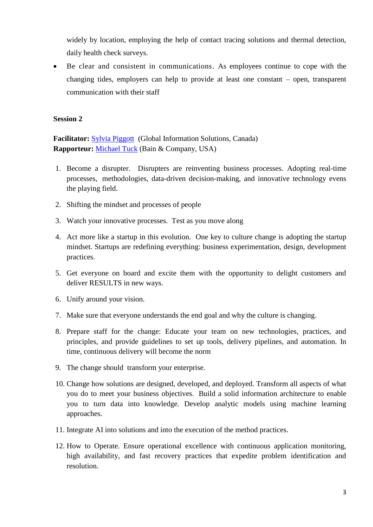widely by location, employing the help of contact tracing solutions and thermal detection, daily health check surveys.

 Be clear and consistent in communications. As employees continue to cope with the changing tides, employers can help to provide at least one constant – open, transparent communication with their staff

#### **Session 2**

**Facilitator:** [Sylvia Piggott](mailto:Seapiggott@gmail.com) (Global Information Solutions, Canada) **Rapporteur:** [Michael](mailto:michael.tuck@bain.com) Tuck (Bain & Company, USA)

- 1. Become a disrupter. Disrupters are reinventing business processes. Adopting real-time processes, methodologies, data-driven decision-making, and innovative technology evens the playing field.
- 2. Shifting the mindset and processes of people
- 3. Watch your innovative processes. Test as you move along
- 4. Act more like a startup in this evolution. One key to culture change is adopting the startup mindset. Startups are redefining everything: business experimentation, design, development practices.
- 5. Get everyone on board and excite them with the opportunity to delight customers and deliver RESULTS in new ways.
- 6. Unify around your vision.
- 7. Make sure that everyone understands the end goal and why the culture is changing.
- 8. Prepare staff for the change: Educate your team on new technologies, practices, and principles, and provide guidelines to set up tools, delivery pipelines, and automation. In time, continuous delivery will become the norm
- 9. The change should transform your enterprise.
- 10. Change how solutions are designed, developed, and deployed. Transform all aspects of what you do to meet your business objectives. Build a solid information architecture to enable you to turn data into knowledge. Develop analytic models using machine learning approaches.
- 11. Integrate AI into solutions and into the execution of the method practices.
- 12. How to Operate. Ensure operational excellence with continuous application monitoring, high availability, and fast recovery practices that expedite problem identification and resolution.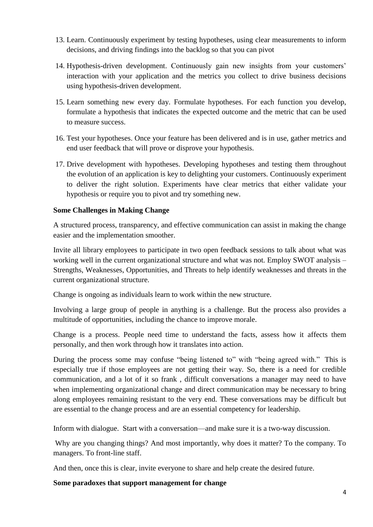- 13. Learn. Continuously experiment by testing hypotheses, using clear measurements to inform decisions, and driving findings into the backlog so that you can pivot
- 14. Hypothesis-driven development. Continuously gain new insights from your customers' interaction with your application and the metrics you collect to drive business decisions using hypothesis-driven development.
- 15. Learn something new every day. Formulate hypotheses. For each function you develop, formulate a hypothesis that indicates the expected outcome and the metric that can be used to measure success.
- 16. Test your hypotheses. Once your feature has been delivered and is in use, gather metrics and end user feedback that will prove or disprove your hypothesis.
- 17. Drive development with hypotheses. Developing hypotheses and testing them throughout the evolution of an application is key to delighting your customers. Continuously experiment to deliver the right solution. Experiments have clear metrics that either validate your hypothesis or require you to pivot and try something new.

#### **Some Challenges in Making Change**

A structured process, transparency, and effective communication can assist in making the change easier and the implementation smoother.

Invite all library employees to participate in two open feedback sessions to talk about what was working well in the current organizational structure and what was not. Employ SWOT analysis – Strengths, Weaknesses, Opportunities, and Threats to help identify weaknesses and threats in the current organizational structure.

Change is ongoing as individuals learn to work within the new structure.

Involving a large group of people in anything is a challenge. But the process also provides a multitude of opportunities, including the chance to improve morale.

Change is a process. People need time to understand the facts, assess how it affects them personally, and then work through how it translates into action.

During the process some may confuse "being listened to" with "being agreed with." This is especially true if those employees are not getting their way. So, there is a need for credible communication, and a lot of it so frank , difficult conversations a manager may need to have when implementing organizational change and direct communication may be necessary to bring along employees remaining resistant to the very end. These conversations may be difficult but are essential to the change process and are an essential competency for leadership.

Inform with dialogue. Start with a conversation—and make sure it is a two-way discussion.

Why are you changing things? And most importantly, why does it matter? To the company. To managers. To front-line staff.

And then, once this is clear, invite everyone to share and help create the desired future.

#### **Some paradoxes that support management for change**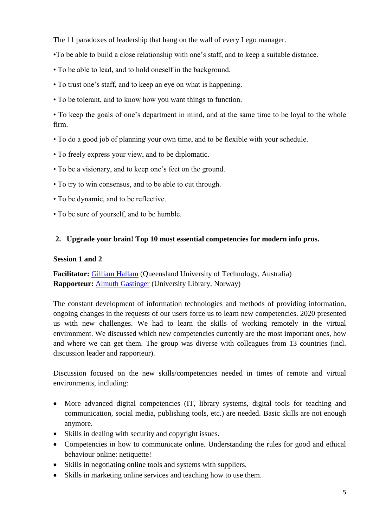The 11 paradoxes of leadership that hang on the wall of every Lego manager.

•To be able to build a close relationship with one's staff, and to keep a suitable distance.

- To be able to lead, and to hold oneself in the background.
- To trust one's staff, and to keep an eye on what is happening.
- To be tolerant, and to know how you want things to function.

• To keep the goals of one's department in mind, and at the same time to be loyal to the whole firm.

- To do a good job of planning your own time, and to be flexible with your schedule.
- To freely express your view, and to be diplomatic.
- To be a visionary, and to keep one's feet on the ground.
- To try to win consensus, and to be able to cut through.
- To be dynamic, and to be reflective.
- To be sure of yourself, and to be humble.

#### **2. Upgrade your brain! Top 10 most essential competencies for modern info pros.**

#### **Session 1 and 2**

**Facilitator:** [Gilliam Hallam](mailto:gillian.hallam1@bigpond.com) (Queensland University of Technology, Australia) **Rapporteur:** Almuth [Gastinger](mailto:almuth.gastinger@ntnu.no) (University Library, Norway)

The constant development of information technologies and methods of providing information, ongoing changes in the requests of our users force us to learn new competencies. 2020 presented us with new challenges. We had to learn the skills of working remotely in the virtual environment. We discussed which new competencies currently are the most important ones, how and where we can get them. The group was diverse with colleagues from 13 countries (incl. discussion leader and rapporteur).

Discussion focused on the new skills/competencies needed in times of remote and virtual environments, including:

- More advanced digital competencies (IT, library systems, digital tools for teaching and communication, social media, publishing tools, etc.) are needed. Basic skills are not enough anymore.
- Skills in dealing with security and copyright issues.
- Competencies in how to communicate online. Understanding the rules for good and ethical behaviour online: netiquette!
- Skills in negotiating online tools and systems with suppliers.
- Skills in marketing online services and teaching how to use them.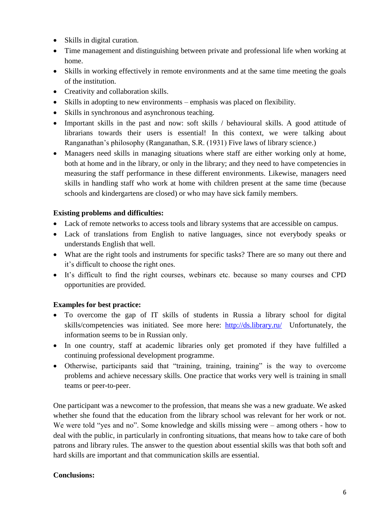- Skills in digital curation.
- Time management and distinguishing between private and professional life when working at home.
- Skills in working effectively in remote environments and at the same time meeting the goals of the institution.
- Creativity and collaboration skills.
- Skills in adopting to new environments emphasis was placed on flexibility.
- Skills in synchronous and asynchronous teaching.
- Important skills in the past and now: soft skills / behavioural skills. A good attitude of librarians towards their users is essential! In this context, we were talking about Ranganathan's philosophy (Ranganathan, S.R. (1931) Five laws of library science.)
- Managers need skills in managing situations where staff are either working only at home, both at home and in the library, or only in the library; and they need to have competencies in measuring the staff performance in these different environments. Likewise, managers need skills in handling staff who work at home with children present at the same time (because schools and kindergartens are closed) or who may have sick family members.

#### **Existing problems and difficulties:**

- Lack of remote networks to access tools and library systems that are accessible on campus.
- Lack of translations from English to native languages, since not everybody speaks or understands English that well.
- What are the right tools and instruments for specific tasks? There are so many out there and it's difficult to choose the right ones.
- It's difficult to find the right courses, webinars etc. because so many courses and CPD opportunities are provided.

#### **Examples for best practice:**

- To overcome the gap of IT skills of students in Russia a library school for digital skills/competencies was initiated. See more here: <http://ds.library.ru/>Unfortunately, the information seems to be in Russian only.
- In one country, staff at academic libraries only get promoted if they have fulfilled a continuing professional development programme.
- Otherwise, participants said that "training, training, training" is the way to overcome problems and achieve necessary skills. One practice that works very well is training in small teams or peer-to-peer.

One participant was a newcomer to the profession, that means she was a new graduate. We asked whether she found that the education from the library school was relevant for her work or not. We were told "yes and no". Some knowledge and skills missing were – among others - how to deal with the public, in particularly in confronting situations, that means how to take care of both patrons and library rules. The answer to the question about essential skills was that both soft and hard skills are important and that communication skills are essential.

#### **Conclusions:**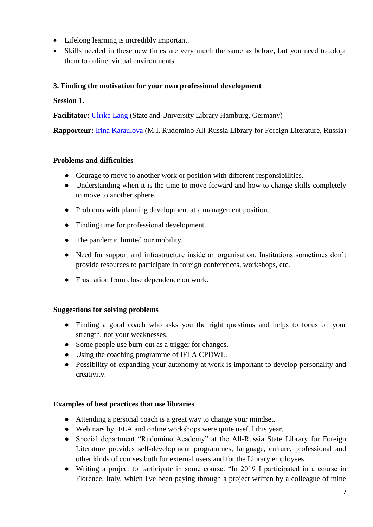- Lifelong learning is incredibly important.
- Skills needed in these new times are very much the same as before, but you need to adopt them to online, virtual environments.

#### **3. Finding the motivation for your own professional development**

**Session 1.**

**Facilitator:** [Ulrike Lang](mailto:Ulrike@lang-site.de) (State and University Library Hamburg, Germany)

**Rapporteur:** [Irina Karaulova](mailto:irina.v.karaulova@libfl.ru) (M.I. Rudomino All-Russia Library for Foreign Literature, Russia)

#### **Problems and difficulties**

- Courage to move to another work or position with different responsibilities.
- Understanding when it is the time to move forward and how to change skills completely to move to another sphere.
- Problems with planning development at a management position.
- Finding time for professional development.
- The pandemic limited our mobility.
- Need for support and infrastructure inside an organisation. Institutions sometimes don't provide resources to participate in foreign conferences, workshops, etc.
- Frustration from close dependence on work.

#### **Suggestions for solving problems**

- Finding a good coach who asks you the right questions and helps to focus on your strength, not your weaknesses.
- Some people use burn-out as a trigger for changes.
- Using the coaching programme of IFLA CPDWL.
- Possibility of expanding your autonomy at work is important to develop personality and creativity.

#### **Examples of best practices that use libraries**

- Attending a personal coach is a great way to change your mindset.
- Webinars by IFLA and online workshops were quite useful this year.
- Special department "Rudomino Academy" at the All-Russia State Library for Foreign Literature provides self-development programmes, language, culture, professional and other kinds of courses both for external users and for the Library employees.
- Writing a project to participate in some course. "In 2019 I participated in a course in Florence, Italy, which I've been paying through a project written by a colleague of mine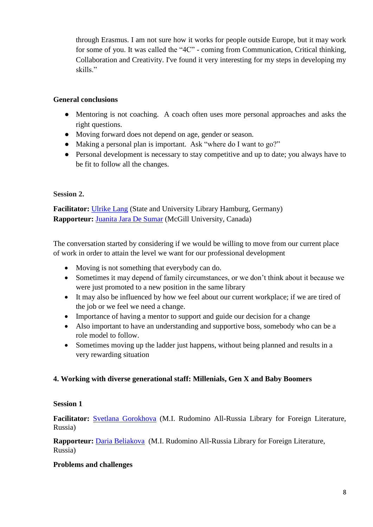through Erasmus. I am not sure how it works for people outside Europe, but it may work for some of you. It was called the "4C" - coming from Communication, Critical thinking, Collaboration and Creativity. I've found it very interesting for my steps in developing my skills."

#### **General conclusions**

- Mentoring is not coaching. A coach often uses more personal approaches and asks the right questions.
- Moving forward does not depend on age, gender or season.
- Making a personal plan is important. Ask "where do I want to go?"
- Personal development is necessary to stay competitive and up to date; you always have to be fit to follow all the changes.

#### **Session 2.**

**Facilitator:** [Ulrike Lang](mailto:Ulrike@lang-site.de) (State and University Library Hamburg, Germany) **Rapporteur:** [Juanita Jara De Sumar](mailto:juanita.jaradesumar@mcgill.ca) (McGill University, Canada)

The conversation started by considering if we would be willing to move from our current place of work in order to attain the level we want for our professional development

- Moving is not something that everybody can do.
- Sometimes it may depend of family circumstances, or we don't think about it because we were just promoted to a new position in the same library
- It may also be influenced by how we feel about our current workplace; if we are tired of the job or we feel we need a change.
- Importance of having a mentor to support and guide our decision for a change
- Also important to have an understanding and supportive boss, somebody who can be a role model to follow.
- Sometimes moving up the ladder just happens, without being planned and results in a very rewarding situation

#### **4. Working with diverse generational staff: Millenials, Gen X and Baby Boomers**

#### **Session 1**

**Facilitator:** [Svetlana Gorokhova](mailto:svetlana.a.gorokhova@libfl.ru) (M.I. Rudomino All-Russia Library for Foreign Literature, Russia)

**Rapporteur:** [Daria Beliakova](mailto:daria.a.beliakova@libfl.ru) (M.I. Rudomino All-Russia Library for Foreign Literature, Russia)

#### **Problems and challenges**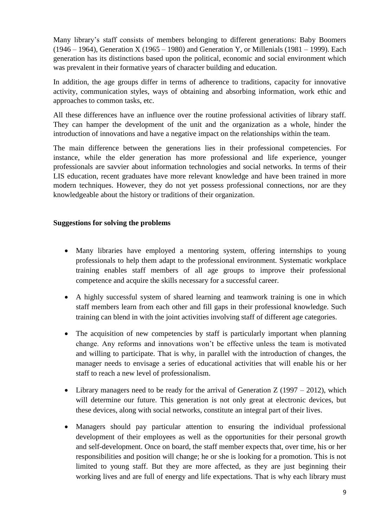Many library's staff consists of members belonging to different generations: Baby Boomers (1946 – 1964), Generation X (1965 – 1980) and Generation Y, or Millenials (1981 – 1999). Each generation has its distinctions based upon the political, economic and social environment which was prevalent in their formative years of character building and education.

In addition, the age groups differ in terms of adherence to traditions, capacity for innovative activity, communication styles, ways of obtaining and absorbing information, work ethic and approaches to common tasks, etc.

All these differences have an influence over the routine professional activities of library staff. They can hamper the development of the unit and the organization as a whole, hinder the introduction of innovations and have a negative impact on the relationships within the team.

The main difference between the generations lies in their professional competencies. For instance, while the elder generation has more professional and life experience, younger professionals are savvier about information technologies and social networks. In terms of their LIS education, recent graduates have more relevant knowledge and have been trained in more modern techniques. However, they do not yet possess professional connections, nor are they knowledgeable about the history or traditions of their organization.

#### **Suggestions for solving the problems**

- Many libraries have employed a mentoring system, offering internships to young professionals to help them adapt to the professional environment. Systematic workplace training enables staff members of all age groups to improve their professional competence and acquire the skills necessary for a successful career.
- A highly successful system of shared learning and teamwork training is one in which staff members learn from each other and fill gaps in their professional knowledge. Such training can blend in with the joint activities involving staff of different age categories.
- The acquisition of new competencies by staff is particularly important when planning change. Any reforms and innovations won't be effective unless the team is motivated and willing to participate. That is why, in parallel with the introduction of changes, the manager needs to envisage a series of educational activities that will enable his or her staff to reach a new level of professionalism.
- Library managers need to be ready for the arrival of Generation  $Z(1997 2012)$ , which will determine our future. This generation is not only great at electronic devices, but these devices, along with social networks, constitute an integral part of their lives.
- Managers should pay particular attention to ensuring the individual professional development of their employees as well as the opportunities for their personal growth and self-development. Once on board, the staff member expects that, over time, his or her responsibilities and position will change; he or she is looking for a promotion. This is not limited to young staff. But they are more affected, as they are just beginning their working lives and are full of energy and life expectations. That is why each library must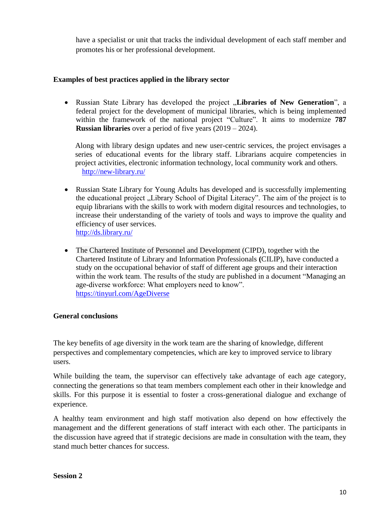have a specialist or unit that tracks the individual development of each staff member and promotes his or her professional development.

#### **Examples of best practices applied in the library sector**

 Russian State Library has developed the project "**Libraries of New Generation**", a federal project for the development of municipal libraries, which is being implemented within the framework of the national project "Culture". It aims to modernize **787 Russian libraries** over a period of five years (2019 – 2024).

Along with library design updates and new user-centric services, the project envisages a series of educational events for the library staff. Librarians acquire competencies in project activities, electronic information technology, local community work and others. <http://new-library.ru/>

- Russian State Library for Young Adults has developed and is successfully implementing the educational project . Library School of Digital Literacy". The aim of the project is to equip librarians with the skills to work with modern digital resources and technologies, to increase their understanding of the variety of tools and ways to improve the quality and efficiency of user services. <http://ds.library.ru/>
- The Chartered Institute of Personnel and Development (CIPD), together with the Chartered Institute of Library and Information Professionals **(**CILIP), have conducted a study on the occupational behavior of staff of different age groups and their interaction within the work team. The results of the study are published in a document "Managing an age-diverse workforce: What employers need to know". <https://tinyurl.com/AgeDiverse>

#### **General conclusions**

The key benefits of age diversity in the work team are the sharing of knowledge, different perspectives and complementary competencies, which are key to improved service to library users.

While building the team, the supervisor can effectively take advantage of each age category, connecting the generations so that team members complement each other in their knowledge and skills. For this purpose it is essential to foster a cross-generational dialogue and exchange of experience.

A healthy team environment and high staff motivation also depend on how effectively the management and the different generations of staff interact with each other. The participants in the discussion have agreed that if strategic decisions are made in consultation with the team, they stand much better chances for success.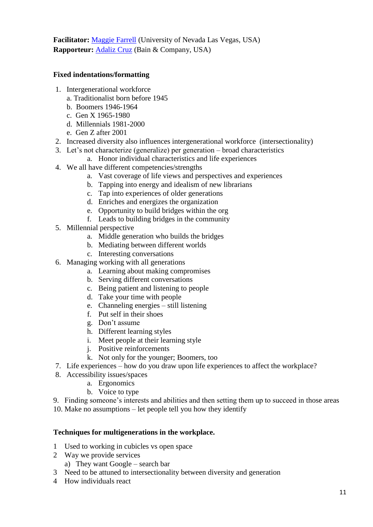**Facilitator:** [Maggie Farrell](mailto:maggie.farrell@unlv.edu) (University of Nevada Las Vegas, USA) **Rapporteur:** [Adaliz](mailto:adaliz.cruz@bain.com) Cruz (Bain & Company, USA)

#### **Fixed indentations/formatting**

- 1. Intergenerational workforce
	- a. Traditionalist born before 1945
	- b. Boomers 1946-1964
	- c. Gen X 1965-1980
	- d. Millennials 1981-2000
	- e. Gen Z after 2001
- 2. Increased diversity also influences intergenerational workforce (intersectionality)
- 3. Let's not characterize (generalize) per generation broad characteristics
	- a. Honor individual characteristics and life experiences
- 4. We all have different competencies/strengths
	- a. Vast coverage of life views and perspectives and experiences
	- b. Tapping into energy and idealism of new librarians
	- c. Tap into experiences of older generations
	- d. Enriches and energizes the organization
	- e. Opportunity to build bridges within the org
	- f. Leads to building bridges in the community
- 5. Millennial perspective
	- a. Middle generation who builds the bridges
	- b. Mediating between different worlds
	- c. Interesting conversations
- 6. Managing working with all generations
	- a. Learning about making compromises
	- b. Serving different conversations
	- c. Being patient and listening to people
	- d. Take your time with people
	- e. Channeling energies still listening
	- f. Put self in their shoes
	- g. Don't assume
	- h. Different learning styles
	- i. Meet people at their learning style
	- j. Positive reinforcements
	- k. Not only for the younger; Boomers, too
- 7. Life experiences how do you draw upon life experiences to affect the workplace?
- 8. Accessibility issues/spaces
	- a. Ergonomics
	- b. Voice to type
- 9. Finding someone's interests and abilities and then setting them up to succeed in those areas
- 10. Make no assumptions let people tell you how they identify

#### **Techniques for multigenerations in the workplace.**

- 1 Used to working in cubicles vs open space
- 2 Way we provide services
	- a) They want Google search bar
- 3 Need to be attuned to intersectionality between diversity and generation
- 4 How individuals react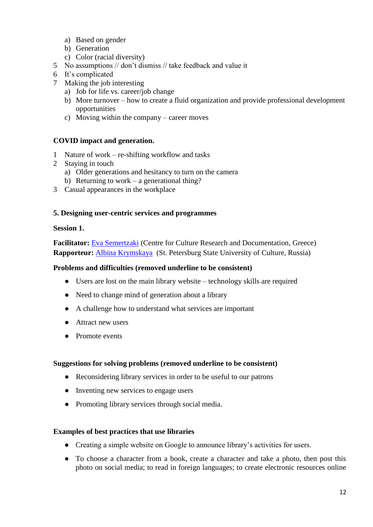- a) Based on gender
- b) Generation
- c) Color (racial diversity)
- 5 No assumptions // don't dismiss // take feedback and value it
- 6 It's complicated
- 7 Making the job interesting
	- a) Job for life vs. career/job change
	- b) More turnover how to create a fluid organization and provide professional development opportunities
	- c) Moving within the company career moves

#### **COVID impact and generation.**

- 1 Nature of work re-shifting workflow and tasks
- 2 Staying in touch
	- a) Older generations and hesitancy to turn on the camera
	- b) Returning to work a generational thing?
- 3 Casual appearances in the workplace

#### **5. Designing user-centric services and programmes**

#### **Session 1.**

**Facilitator:** [Eva Semertzaki](mailto:esemertzaki@gmail.com) (Centre for Culture Research and Documentation, Greece) **Rapporteur:** [Albina Krymskaya](mailto:krymskayaalbina@gmail.com) (St. Petersburg State University of Culture, Russia)

#### **Problems and difficulties (removed underline to be consistent)**

- Users are lost on the main library website technology skills are required
- Need to change mind of generation about a library
- A challenge how to understand what services are important
- Attract new users
- Promote events

#### **Suggestions for solving problems (removed underline to be consistent)**

- Reconsidering library services in order to be useful to our patrons
- Inventing new services to engage users
- Promoting library services through social media.

#### **Examples of best practices that use libraries**

- Creating a simple website on Google to announce library's activities for users.
- To choose a character from a book, create a character and take a photo, then post this photo on social media; to read in foreign languages; to create electronic resources online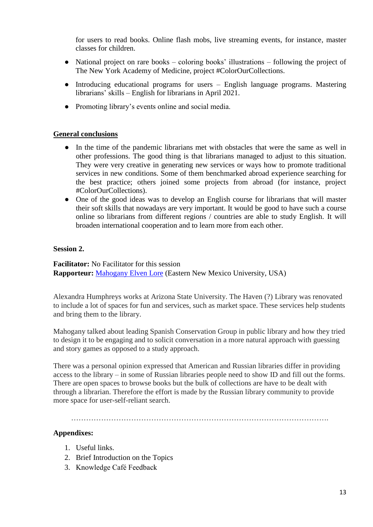for users to read books. Online flash mobs, live streaming events, for instance, master classes for children.

- National project on rare books coloring books' illustrations following the project of The New York Academy of Medicine, project #ColorOurCollections.
- Introducing educational programs for users English language programs. Mastering librarians' skills – English for librarians in April 2021.
- Promoting library's events online and social media.

#### **General conclusions**

- In the time of the pandemic librarians met with obstacles that were the same as well in other professions. The good thing is that librarians managed to adjust to this situation. They were very creative in generating new services or ways how to promote traditional services in new conditions. Some of them benchmarked abroad experience searching for the best practice; others joined some projects from abroad (for instance, project #ColorOurCollections).
- One of the good ideas was to develop an English course for librarians that will master their soft skills that nowadays are very important. It would be good to have such a course online so librarians from different regions / countries are able to study English. It will broaden international cooperation and to learn more from each other.

#### **Session 2.**

**Facilitator:** No Facilitator for this session **Rapporteur:** [Mahogany Elven Lore](mailto:librarian@silvr.com) (Eastern New Mexico University, USA)

Alexandra Humphreys works at Arizona State University. The Haven (?) Library was renovated to include a lot of spaces for fun and services, such as market space. These services help students and bring them to the library.

Mahogany talked about leading Spanish Conservation Group in public library and how they tried to design it to be engaging and to solicit conversation in a more natural approach with guessing and story games as opposed to a study approach.

There was a personal opinion expressed that American and Russian libraries differ in providing access to the library – in some of Russian libraries people need to show ID and fill out the forms. There are open spaces to browse books but the bulk of collections are have to be dealt with through a librarian. Therefore the effort is made by the Russian library community to provide more space for user-self-reliant search.

#### **Appendixes:**

- 1. Useful links.
- 2. Brief Introduction on the Topics
- 3. Knowledge Café Feedback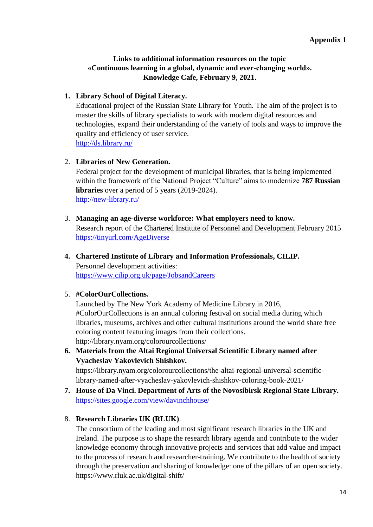#### **Links to additional information resources on the topic «Continuous learning in a global, dynamic and ever-changing world». Knowledge Cafe, February 9, 2021.**

#### **1. Library School of Digital Literacy.**

Educational project of the Russian State Library for Youth. The aim of the project is to master the skills of library specialists to work with modern digital resources and technologies, expand their understanding of the variety of tools and ways to improve the quality and efficiency of user service. <http://ds.library.ru/>

#### 2. **Libraries of New Generation.**

Federal project for the development of municipal libraries, that is being implemented within the framework of the National Project "Culture" aims to modernize **787 Russian libraries** over a period of 5 years (2019-2024). <http://new-library.ru/>

- 3. **Managing an age-diverse workforce: What employers need to know.**  Research report of the Chartered Institute of Personnel and Development February 2015 <https://tinyurl.com/AgeDiverse>
- **4. Chartered Institute of Library and Information Professionals, CILIP.** Personnel development activities: <https://www.cilip.org.uk/page/JobsandCareers>

#### 5. **#ColorOurCollections.**

Launched by The New York Academy of Medicine Library in 2016, #ColorOurCollections is an annual coloring festival on social media during which libraries, museums, archives and other cultural institutions around the world share free coloring content featuring images from their collections. http://library.nyam.org/colorourcollections/

- **6. Materials from the Altai Regional Universal Scientific Library named after Vyacheslav Yakovlevich Shishkov.** https://library.nyam.org/colorourcollections/the-altai-regional-universal-scientific-
- library-named-after-vyacheslav-yakovlevich-shishkov-coloring-book-2021/ **7. House of Da Vinci. Department of Arts of the Novosibirsk Regional State Library.**
	- <https://sites.google.com/view/davinchhouse/>
- 8. **Research Libraries UK (RLUK)**.

The consortium of the leading and most significant research libraries in the UK and Ireland. The purpose is to shape the research library agenda and contribute to the wider knowledge economy through innovative projects and services that add value and impact to the process of research and researcher-training. We contribute to the health of society through the preservation and sharing of knowledge: one of the pillars of an open society. [https://www.rluk.ac.uk/digital-shift/](https://vk.com/away.php?utf=1&to=https%3A%2F%2Fwww.rluk.ac.uk%2Fdigital-shift%2F)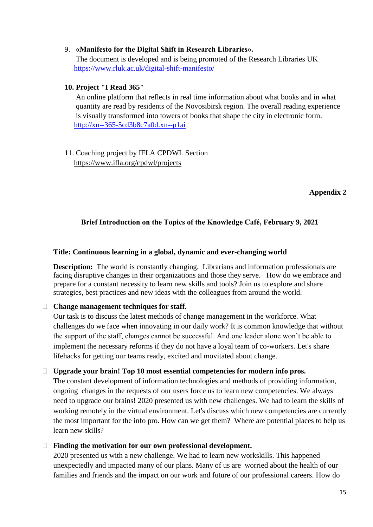#### 9. **«Manifesto for the Digital Shift in Research Libraries».**

The document is developed and is being promoted of the Research Libraries UK <https://www.rluk.ac.uk/digital-shift-manifesto/>

#### **10. Project "I Read 365"**

An online platform that reflects in real time information about what books and in what quantity are read by residents of the Novosibirsk region. The overall reading experience is visually transformed into towers of books that shape the city in electronic form. [http://xn--365-5cd3b8c7a0d.xn--p1ai](http://читаю365.рф/)

11. Coaching project by IFLA CPDWL Section <https://www.ifla.org/cpdwl/projects>

#### **Appendix 2**

#### **Brief Introduction on the Topics of the Knowledge Café, February 9, 2021**

#### **Title: Continuous learning in a global, dynamic and ever-changing world**

**Description:** The world is constantly changing. Librarians and information professionals are facing disruptive changes in their organizations and those they serve. How do we embrace and prepare for a constant necessity to learn new skills and tools? Join us to explore and share strategies, best practices and new ideas with the colleagues from around the world.

#### ⮚ **Change management techniques for staff.**

Our task is to discuss the latest methods of change management in the workforce. What challenges do we face when innovating in our daily work? It is common knowledge that without the support of the staff, changes cannot be successful. And one leader alone won't be able to implement the necessary reforms if they do not have a loyal team of co-workers. Let's share lifehacks for getting our teams ready, excited and movitated about change.

#### □ Upgrade your brain! Top 10 most essential competencies for modern info pros.

The constant development of information technologies and methods of providing information, ongoing changes in the requests of our users force us to learn new competencies. We always need to upgrade our brains! 2020 presented us with new challenges. We had to learn the skills of working remotely in the virtual environment. Let's discuss which new competencies are currently the most important for the info pro. How can we get them? Where are potential places to help us learn new skills?

#### ⮚ **Finding the motivation for our own professional development.**

2020 presented us with a new challenge. We had to learn new workskills. This happened unexpectedly and impacted many of our plans. Many of us are worried about the health of our families and friends and the impact on our work and future of our professional careers. How do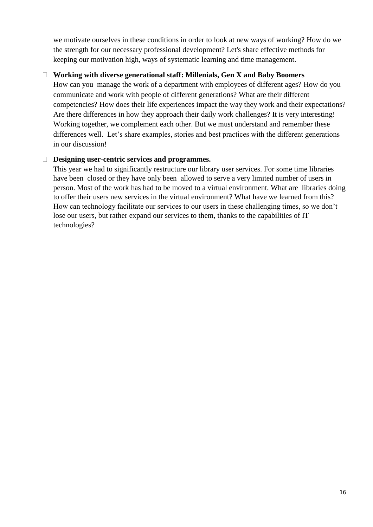we motivate ourselves in these conditions in order to look at new ways of working? How do we the strength for our necessary professional development? Let's share effective methods for keeping our motivation high, ways of systematic learning and time management.

#### ⮚ **Working with diverse generational staff: Millenials, Gen X and Baby Boomers**

How can you manage the work of a department with employees of different ages? How do you communicate and work with people of different generations? What are their different competencies? How does their life experiences impact the way they work and their expectations? Are there differences in how they approach their daily work challenges? It is very interesting! Working together, we complement each other. But we must understand and remember these differences well. Let's share examples, stories and best practices with the different generations in our discussion!

#### ⮚ **Designing user-centric services and programmes.**

This year we had to significantly restructure our library user services. For some time libraries have been closed or they have only been allowed to serve a very limited number of users in person. Most of the work has had to be moved to a virtual environment. What are libraries doing to offer their users new services in the virtual environment? What have we learned from this? How can technology facilitate our services to our users in these challenging times, so we don't lose our users, but rather expand our services to them, thanks to the capabilities of IT technologies?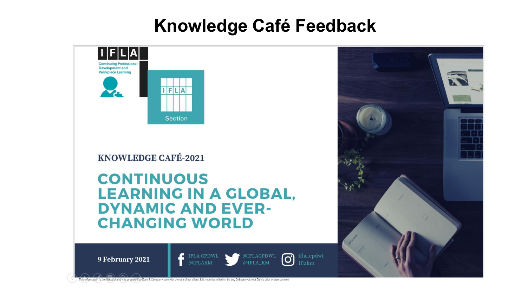# **Knowledge Café Feedback**

@IFLACPDWL

@IFLA\_KM

**o** 

ifla\_cpdwl

iflakm



### **KNOWLEDGE CAFÉ-2021**

## **CONTINUOUS LEARNING IN A GLOBAL, DYNAMIC AND EVER-CHANGING WORLD**

IFLA CPDWL

@IFLAKM

9 February 2021

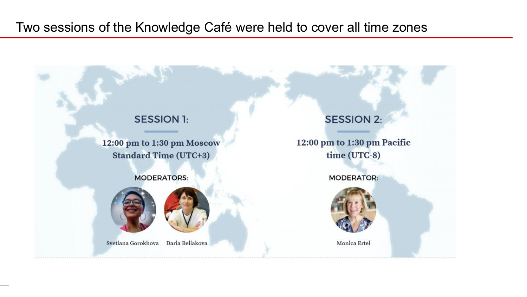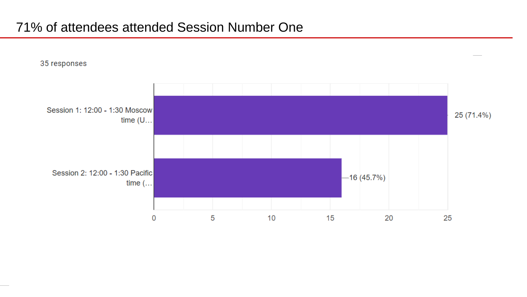### 71% of attendees attended Session Number One

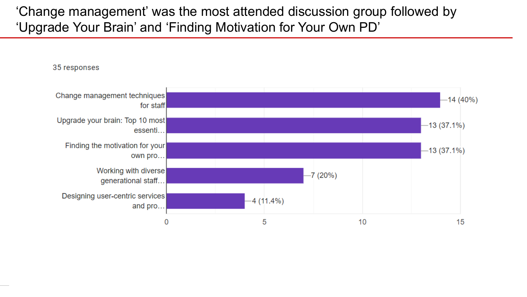'Change management' was the most attended discussion group followed by 'Upgrade Your Brain' and 'Finding Motivation for Your Own PD'

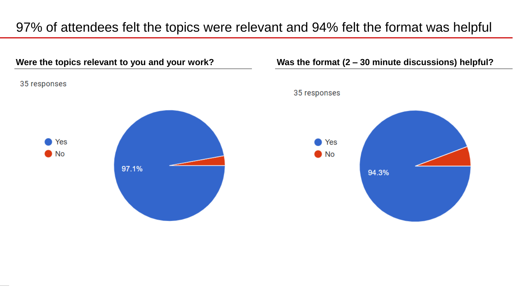### 97% of attendees felt the topics were relevant and 94% felt the format was helpful

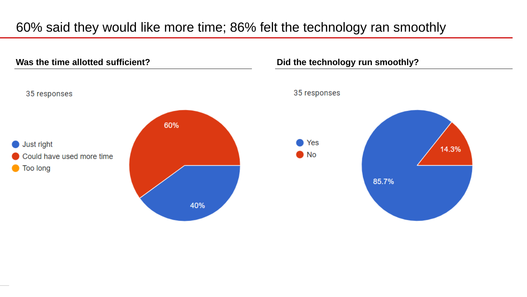### 60% said they would like more time; 86% felt the technology ran smoothly

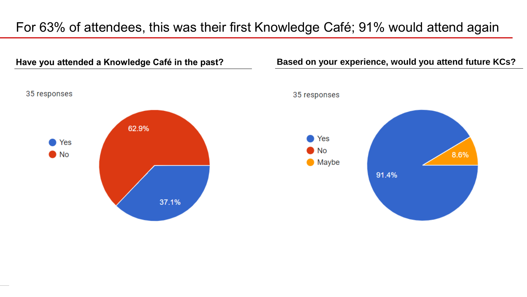### For 63% of attendees, this was their first Knowledge Café; 91% would attend again

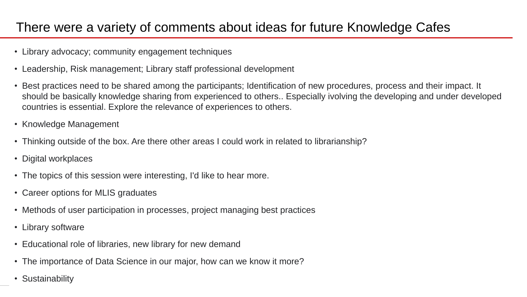## There were a variety of comments about ideas for future Knowledge Cafes

- Library advocacy; community engagement techniques
- Leadership, Risk management; Library staff professional development
- Best practices need to be shared among the participants; Identification of new procedures, process and their impact. It should be basically knowledge sharing from experienced to others.. Especially ivolving the developing and under developed countries is essential. Explore the relevance of experiences to others.
- Knowledge Management
- Thinking outside of the box. Are there other areas I could work in related to librarianship?
- Digital workplaces
- The topics of this session were interesting, I'd like to hear more.
- Career options for MLIS graduates
- Methods of user participation in processes, project managing best practices
- Library software
- Educational role of libraries, new library for new demand
- The importance of Data Science in our major, how can we know it more?
- Sustainability